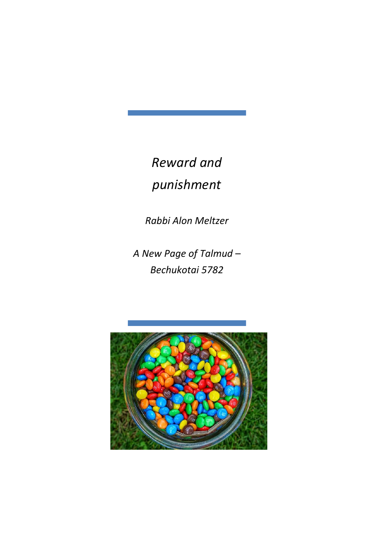*Reward and punishment*

*Rabbi Alon Meltzer*

*A New Page of Talmud – Bechukotai 5782*